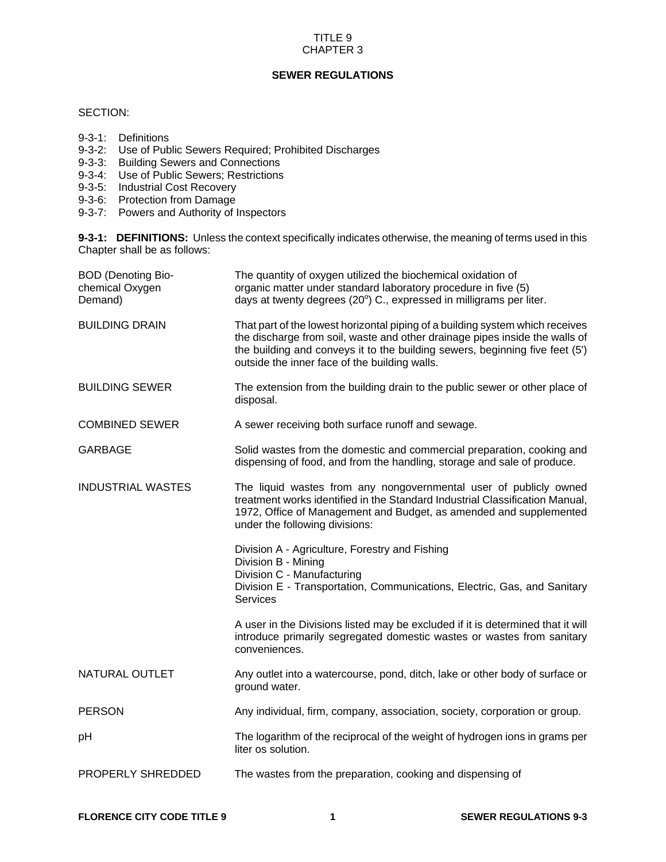#### TITLE 9 CHAPTER 3

## **SEWER REGULATIONS**

## SECTION:

- 9-3-1: Definitions
- 9-3-2: Use of Public Sewers Required; Prohibited Discharges
- 9-3-3: Building Sewers and Connections
- 9-3-4: Use of Public Sewers; Restrictions
- 9-3-5: Industrial Cost Recovery
- 9-3-6: Protection from Damage
- 9-3-7: Powers and Authority of Inspectors

**9-3-1: DEFINITIONS:** Unless the context specifically indicates otherwise, the meaning of terms used in this Chapter shall be as follows:

| <b>BOD (Denoting Bio-</b><br>chemical Oxygen<br>Demand) | The quantity of oxygen utilized the biochemical oxidation of<br>organic matter under standard laboratory procedure in five (5)<br>days at twenty degrees (20°) C., expressed in milligrams per liter.                                                                                         |
|---------------------------------------------------------|-----------------------------------------------------------------------------------------------------------------------------------------------------------------------------------------------------------------------------------------------------------------------------------------------|
| <b>BUILDING DRAIN</b>                                   | That part of the lowest horizontal piping of a building system which receives<br>the discharge from soil, waste and other drainage pipes inside the walls of<br>the building and conveys it to the building sewers, beginning five feet (5')<br>outside the inner face of the building walls. |
| <b>BUILDING SEWER</b>                                   | The extension from the building drain to the public sewer or other place of<br>disposal.                                                                                                                                                                                                      |
| <b>COMBINED SEWER</b>                                   | A sewer receiving both surface runoff and sewage.                                                                                                                                                                                                                                             |
| <b>GARBAGE</b>                                          | Solid wastes from the domestic and commercial preparation, cooking and<br>dispensing of food, and from the handling, storage and sale of produce.                                                                                                                                             |
| <b>INDUSTRIAL WASTES</b>                                | The liquid wastes from any nongovernmental user of publicly owned<br>treatment works identified in the Standard Industrial Classification Manual,<br>1972, Office of Management and Budget, as amended and supplemented<br>under the following divisions:                                     |
|                                                         | Division A - Agriculture, Forestry and Fishing<br>Division B - Mining<br>Division C - Manufacturing<br>Division E - Transportation, Communications, Electric, Gas, and Sanitary<br><b>Services</b>                                                                                            |
|                                                         | A user in the Divisions listed may be excluded if it is determined that it will<br>introduce primarily segregated domestic wastes or wastes from sanitary<br>conveniences.                                                                                                                    |
| <b>NATURAL OUTLET</b>                                   | Any outlet into a watercourse, pond, ditch, lake or other body of surface or<br>ground water.                                                                                                                                                                                                 |
| <b>PERSON</b>                                           | Any individual, firm, company, association, society, corporation or group.                                                                                                                                                                                                                    |
| рH                                                      | The logarithm of the reciprocal of the weight of hydrogen ions in grams per<br>liter os solution.                                                                                                                                                                                             |
| PROPERLY SHREDDED                                       | The wastes from the preparation, cooking and dispensing of                                                                                                                                                                                                                                    |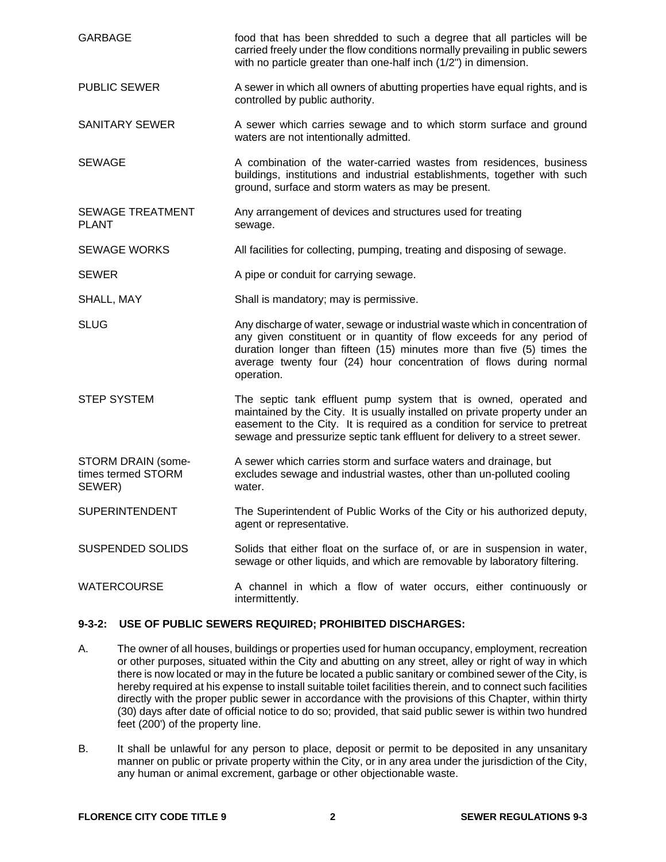| <b>GARBAGE</b>                                     | food that has been shredded to such a degree that all particles will be<br>carried freely under the flow conditions normally prevailing in public sewers<br>with no particle greater than one-half inch (1/2") in dimension.                                                                                         |
|----------------------------------------------------|----------------------------------------------------------------------------------------------------------------------------------------------------------------------------------------------------------------------------------------------------------------------------------------------------------------------|
| <b>PUBLIC SEWER</b>                                | A sewer in which all owners of abutting properties have equal rights, and is<br>controlled by public authority.                                                                                                                                                                                                      |
| <b>SANITARY SEWER</b>                              | A sewer which carries sewage and to which storm surface and ground<br>waters are not intentionally admitted.                                                                                                                                                                                                         |
| <b>SEWAGE</b>                                      | A combination of the water-carried wastes from residences, business<br>buildings, institutions and industrial establishments, together with such<br>ground, surface and storm waters as may be present.                                                                                                              |
| <b>SEWAGE TREATMENT</b><br><b>PLANT</b>            | Any arrangement of devices and structures used for treating<br>sewage.                                                                                                                                                                                                                                               |
| <b>SEWAGE WORKS</b>                                | All facilities for collecting, pumping, treating and disposing of sewage.                                                                                                                                                                                                                                            |
| <b>SEWER</b>                                       | A pipe or conduit for carrying sewage.                                                                                                                                                                                                                                                                               |
| SHALL, MAY                                         | Shall is mandatory; may is permissive.                                                                                                                                                                                                                                                                               |
| <b>SLUG</b>                                        | Any discharge of water, sewage or industrial waste which in concentration of<br>any given constituent or in quantity of flow exceeds for any period of<br>duration longer than fifteen (15) minutes more than five (5) times the<br>average twenty four (24) hour concentration of flows during normal<br>operation. |
| <b>STEP SYSTEM</b>                                 | The septic tank effluent pump system that is owned, operated and<br>maintained by the City. It is usually installed on private property under an<br>easement to the City. It is required as a condition for service to pretreat<br>sewage and pressurize septic tank effluent for delivery to a street sewer.        |
| STORM DRAIN (some-<br>times termed STORM<br>SEWER) | A sewer which carries storm and surface waters and drainage, but<br>excludes sewage and industrial wastes, other than un-polluted cooling<br>water.                                                                                                                                                                  |
| <b>SUPERINTENDENT</b>                              | The Superintendent of Public Works of the City or his authorized deputy,<br>agent or representative.                                                                                                                                                                                                                 |
| <b>SUSPENDED SOLIDS</b>                            | Solids that either float on the surface of, or are in suspension in water,<br>sewage or other liquids, and which are removable by laboratory filtering.                                                                                                                                                              |
| <b>WATERCOURSE</b>                                 | A channel in which a flow of water occurs, either continuously or<br>intermittently.                                                                                                                                                                                                                                 |

# **9-3-2: USE OF PUBLIC SEWERS REQUIRED; PROHIBITED DISCHARGES:**

- A. The owner of all houses, buildings or properties used for human occupancy, employment, recreation or other purposes, situated within the City and abutting on any street, alley or right of way in which there is now located or may in the future be located a public sanitary or combined sewer of the City, is hereby required at his expense to install suitable toilet facilities therein, and to connect such facilities directly with the proper public sewer in accordance with the provisions of this Chapter, within thirty (30) days after date of official notice to do so; provided, that said public sewer is within two hundred feet (200') of the property line.
- B. It shall be unlawful for any person to place, deposit or permit to be deposited in any unsanitary manner on public or private property within the City, or in any area under the jurisdiction of the City, any human or animal excrement, garbage or other objectionable waste.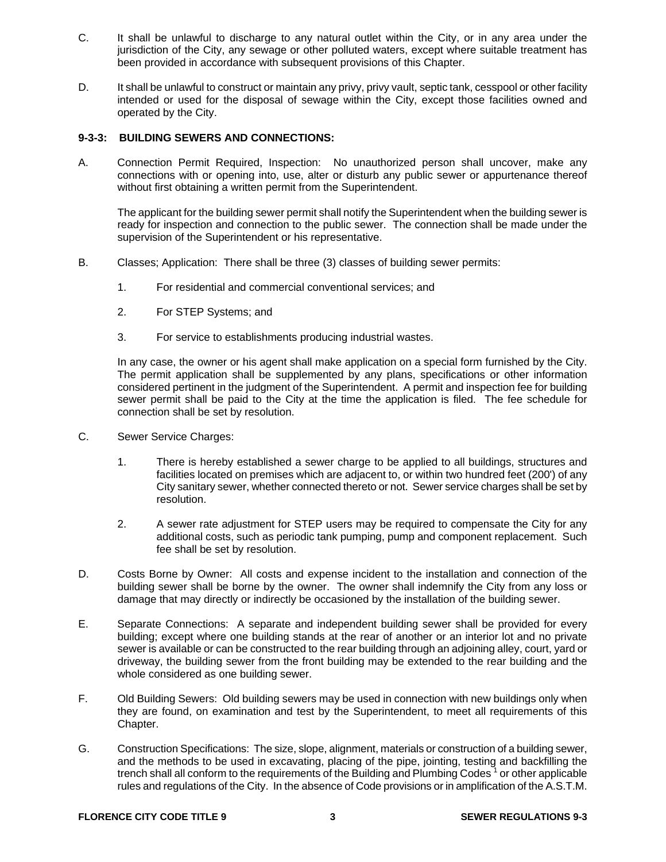- C. It shall be unlawful to discharge to any natural outlet within the City, or in any area under the jurisdiction of the City, any sewage or other polluted waters, except where suitable treatment has been provided in accordance with subsequent provisions of this Chapter.
- D. It shall be unlawful to construct or maintain any privy, privy vault, septic tank, cesspool or other facility intended or used for the disposal of sewage within the City, except those facilities owned and operated by the City.

#### **9-3-3: BUILDING SEWERS AND CONNECTIONS:**

A. Connection Permit Required, Inspection: No unauthorized person shall uncover, make any connections with or opening into, use, alter or disturb any public sewer or appurtenance thereof without first obtaining a written permit from the Superintendent.

The applicant for the building sewer permit shall notify the Superintendent when the building sewer is ready for inspection and connection to the public sewer. The connection shall be made under the supervision of the Superintendent or his representative.

- B. Classes; Application: There shall be three (3) classes of building sewer permits:
	- 1. For residential and commercial conventional services; and
	- 2. For STEP Systems; and
	- 3. For service to establishments producing industrial wastes.

In any case, the owner or his agent shall make application on a special form furnished by the City. The permit application shall be supplemented by any plans, specifications or other information considered pertinent in the judgment of the Superintendent. A permit and inspection fee for building sewer permit shall be paid to the City at the time the application is filed. The fee schedule for connection shall be set by resolution.

- C. Sewer Service Charges:
	- 1. There is hereby established a sewer charge to be applied to all buildings, structures and facilities located on premises which are adjacent to, or within two hundred feet (200') of any City sanitary sewer, whether connected thereto or not. Sewer service charges shall be set by resolution.
	- 2. A sewer rate adjustment for STEP users may be required to compensate the City for any additional costs, such as periodic tank pumping, pump and component replacement. Such fee shall be set by resolution.
- D. Costs Borne by Owner: All costs and expense incident to the installation and connection of the building sewer shall be borne by the owner. The owner shall indemnify the City from any loss or damage that may directly or indirectly be occasioned by the installation of the building sewer.
- E. Separate Connections: A separate and independent building sewer shall be provided for every building; except where one building stands at the rear of another or an interior lot and no private sewer is available or can be constructed to the rear building through an adjoining alley, court, yard or driveway, the building sewer from the front building may be extended to the rear building and the whole considered as one building sewer.
- F. Old Building Sewers: Old building sewers may be used in connection with new buildings only when they are found, on examination and test by the Superintendent, to meet all requirements of this Chapter.
- G. Construction Specifications: The size, slope, alignment, materials or construction of a building sewer, and the methods to be used in excavating, placing of the pipe, jointing, testing and backfilling the trench shall all conform to the requirements of the Building and Plumbing Codes<sup>1</sup> or other applicable rules and regulations of the City. In the absence of Code provisions or in amplification of the A.S.T.M.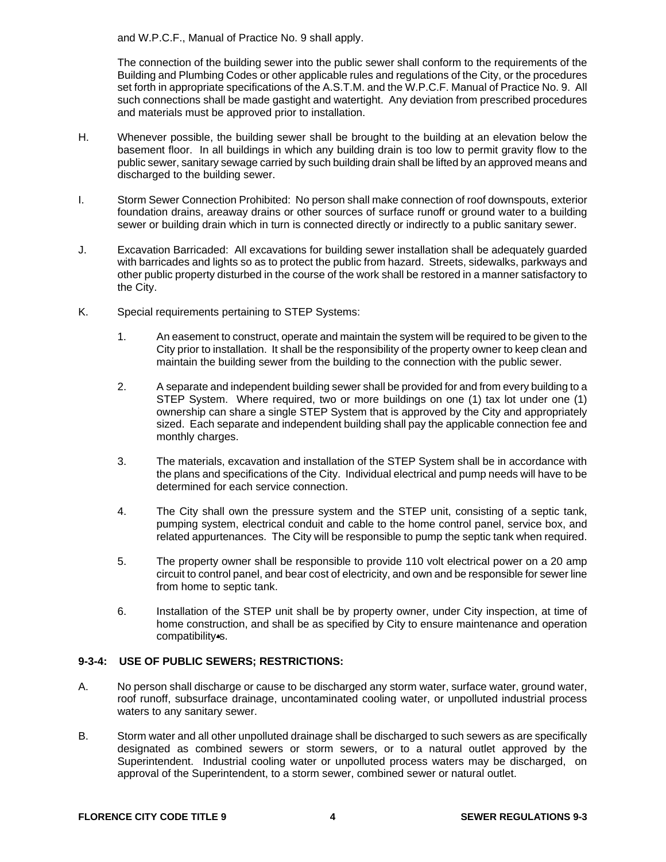and W.P.C.F., Manual of Practice No. 9 shall apply.

The connection of the building sewer into the public sewer shall conform to the requirements of the Building and Plumbing Codes or other applicable rules and regulations of the City, or the procedures set forth in appropriate specifications of the A.S.T.M. and the W.P.C.F. Manual of Practice No. 9. All such connections shall be made gastight and watertight. Any deviation from prescribed procedures and materials must be approved prior to installation.

- H. Whenever possible, the building sewer shall be brought to the building at an elevation below the basement floor. In all buildings in which any building drain is too low to permit gravity flow to the public sewer, sanitary sewage carried by such building drain shall be lifted by an approved means and discharged to the building sewer.
- I. Storm Sewer Connection Prohibited: No person shall make connection of roof downspouts, exterior foundation drains, areaway drains or other sources of surface runoff or ground water to a building sewer or building drain which in turn is connected directly or indirectly to a public sanitary sewer.
- J. Excavation Barricaded: All excavations for building sewer installation shall be adequately guarded with barricades and lights so as to protect the public from hazard. Streets, sidewalks, parkways and other public property disturbed in the course of the work shall be restored in a manner satisfactory to the City.
- K. Special requirements pertaining to STEP Systems:
	- 1. An easement to construct, operate and maintain the system will be required to be given to the City prior to installation. It shall be the responsibility of the property owner to keep clean and maintain the building sewer from the building to the connection with the public sewer.
	- 2. A separate and independent building sewer shall be provided for and from every building to a STEP System. Where required, two or more buildings on one (1) tax lot under one (1) ownership can share a single STEP System that is approved by the City and appropriately sized. Each separate and independent building shall pay the applicable connection fee and monthly charges.
	- 3. The materials, excavation and installation of the STEP System shall be in accordance with the plans and specifications of the City. Individual electrical and pump needs will have to be determined for each service connection.
	- 4. The City shall own the pressure system and the STEP unit, consisting of a septic tank, pumping system, electrical conduit and cable to the home control panel, service box, and related appurtenances. The City will be responsible to pump the septic tank when required.
	- 5. The property owner shall be responsible to provide 110 volt electrical power on a 20 amp circuit to control panel, and bear cost of electricity, and own and be responsible for sewer line from home to septic tank.
	- 6. Installation of the STEP unit shall be by property owner, under City inspection, at time of home construction, and shall be as specified by City to ensure maintenance and operation compatibility<sup>4</sup>s.

## **9-3-4: USE OF PUBLIC SEWERS; RESTRICTIONS:**

- A. No person shall discharge or cause to be discharged any storm water, surface water, ground water, roof runoff, subsurface drainage, uncontaminated cooling water, or unpolluted industrial process waters to any sanitary sewer.
- B. Storm water and all other unpolluted drainage shall be discharged to such sewers as are specifically designated as combined sewers or storm sewers, or to a natural outlet approved by the Superintendent. Industrial cooling water or unpolluted process waters may be discharged, on approval of the Superintendent, to a storm sewer, combined sewer or natural outlet.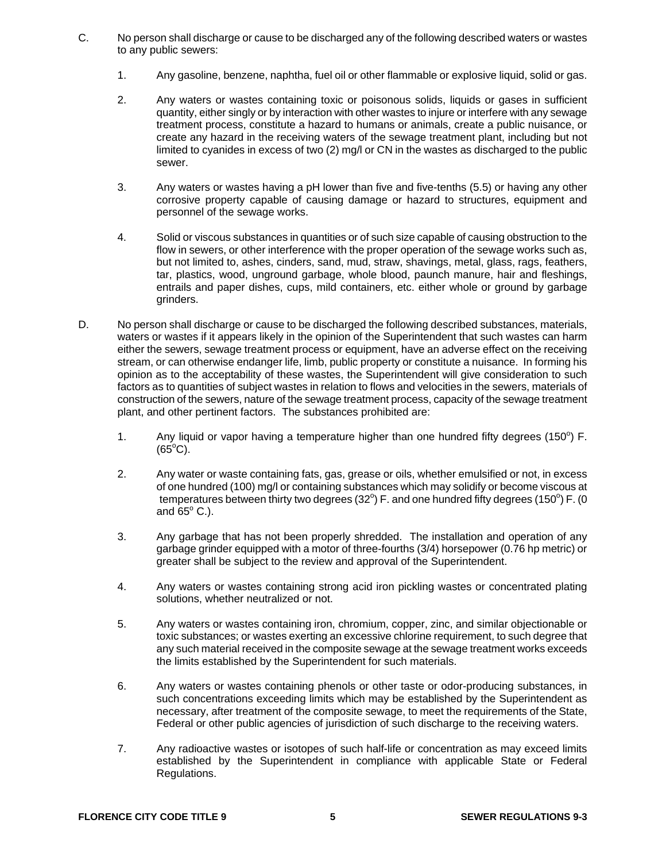- C. No person shall discharge or cause to be discharged any of the following described waters or wastes to any public sewers:
	- 1. Any gasoline, benzene, naphtha, fuel oil or other flammable or explosive liquid, solid or gas.
	- 2. Any waters or wastes containing toxic or poisonous solids, liquids or gases in sufficient quantity, either singly or by interaction with other wastes to injure or interfere with any sewage treatment process, constitute a hazard to humans or animals, create a public nuisance, or create any hazard in the receiving waters of the sewage treatment plant, including but not limited to cyanides in excess of two (2) mg/l or CN in the wastes as discharged to the public sewer.
	- 3. Any waters or wastes having a pH lower than five and five-tenths (5.5) or having any other corrosive property capable of causing damage or hazard to structures, equipment and personnel of the sewage works.
	- 4. Solid or viscous substances in quantities or of such size capable of causing obstruction to the flow in sewers, or other interference with the proper operation of the sewage works such as, but not limited to, ashes, cinders, sand, mud, straw, shavings, metal, glass, rags, feathers, tar, plastics, wood, unground garbage, whole blood, paunch manure, hair and fleshings, entrails and paper dishes, cups, mild containers, etc. either whole or ground by garbage grinders.
- D. No person shall discharge or cause to be discharged the following described substances, materials, waters or wastes if it appears likely in the opinion of the Superintendent that such wastes can harm either the sewers, sewage treatment process or equipment, have an adverse effect on the receiving stream, or can otherwise endanger life, limb, public property or constitute a nuisance. In forming his opinion as to the acceptability of these wastes, the Superintendent will give consideration to such factors as to quantities of subject wastes in relation to flows and velocities in the sewers, materials of construction of the sewers, nature of the sewage treatment process, capacity of the sewage treatment plant, and other pertinent factors. The substances prohibited are:
	- 1. Any liquid or vapor having a temperature higher than one hundred fifty degrees (150 $^{\circ}$ ) F.  $(65^{\circ}C)$ .
	- 2. Any water or waste containing fats, gas, grease or oils, whether emulsified or not, in excess of one hundred (100) mg/l or containing substances which may solidify or become viscous at temperatures between thirty two degrees (32°) F. and one hundred fifty degrees (150°) F. (0 and  $65^{\circ}$  C.).
	- 3. Any garbage that has not been properly shredded. The installation and operation of any garbage grinder equipped with a motor of three-fourths (3/4) horsepower (0.76 hp metric) or greater shall be subject to the review and approval of the Superintendent.
	- 4. Any waters or wastes containing strong acid iron pickling wastes or concentrated plating solutions, whether neutralized or not.
	- 5. Any waters or wastes containing iron, chromium, copper, zinc, and similar objectionable or toxic substances; or wastes exerting an excessive chlorine requirement, to such degree that any such material received in the composite sewage at the sewage treatment works exceeds the limits established by the Superintendent for such materials.
	- 6. Any waters or wastes containing phenols or other taste or odor-producing substances, in such concentrations exceeding limits which may be established by the Superintendent as necessary, after treatment of the composite sewage, to meet the requirements of the State, Federal or other public agencies of jurisdiction of such discharge to the receiving waters.
	- 7. Any radioactive wastes or isotopes of such half-life or concentration as may exceed limits established by the Superintendent in compliance with applicable State or Federal Regulations.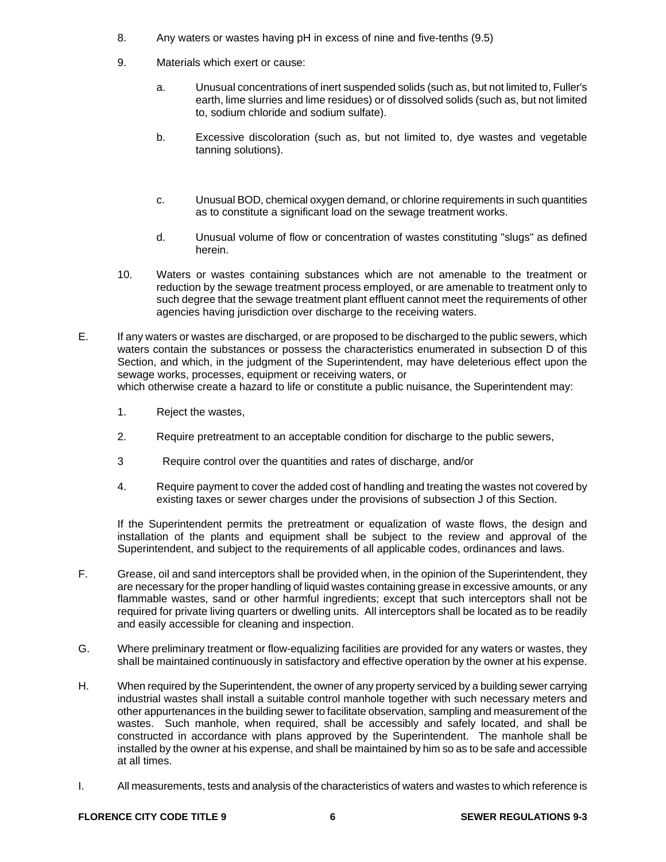- 8. Any waters or wastes having pH in excess of nine and five-tenths (9.5)
- 9. Materials which exert or cause:
	- a. Unusual concentrations of inert suspended solids (such as, but not limited to, Fuller's earth, lime slurries and lime residues) or of dissolved solids (such as, but not limited to, sodium chloride and sodium sulfate).
	- b. Excessive discoloration (such as, but not limited to, dye wastes and vegetable tanning solutions).
	- c. Unusual BOD, chemical oxygen demand, or chlorine requirements in such quantities as to constitute a significant load on the sewage treatment works.
	- d. Unusual volume of flow or concentration of wastes constituting "slugs" as defined herein.
- 10. Waters or wastes containing substances which are not amenable to the treatment or reduction by the sewage treatment process employed, or are amenable to treatment only to such degree that the sewage treatment plant effluent cannot meet the requirements of other agencies having jurisdiction over discharge to the receiving waters.
- E. If any waters or wastes are discharged, or are proposed to be discharged to the public sewers, which waters contain the substances or possess the characteristics enumerated in subsection D of this Section, and which, in the judgment of the Superintendent, may have deleterious effect upon the sewage works, processes, equipment or receiving waters, or

which otherwise create a hazard to life or constitute a public nuisance, the Superintendent may:

- 1. Reject the wastes,
- 2. Require pretreatment to an acceptable condition for discharge to the public sewers,
- 3 Require control over the quantities and rates of discharge, and/or
- 4. Require payment to cover the added cost of handling and treating the wastes not covered by existing taxes or sewer charges under the provisions of subsection J of this Section.

If the Superintendent permits the pretreatment or equalization of waste flows, the design and installation of the plants and equipment shall be subject to the review and approval of the Superintendent, and subject to the requirements of all applicable codes, ordinances and laws.

- F. Grease, oil and sand interceptors shall be provided when, in the opinion of the Superintendent, they are necessary for the proper handling of liquid wastes containing grease in excessive amounts, or any flammable wastes, sand or other harmful ingredients; except that such interceptors shall not be required for private living quarters or dwelling units. All interceptors shall be located as to be readily and easily accessible for cleaning and inspection.
- G. Where preliminary treatment or flow-equalizing facilities are provided for any waters or wastes, they shall be maintained continuously in satisfactory and effective operation by the owner at his expense.
- H. When required by the Superintendent, the owner of any property serviced by a building sewer carrying industrial wastes shall install a suitable control manhole together with such necessary meters and other appurtenances in the building sewer to facilitate observation, sampling and measurement of the wastes. Such manhole, when required, shall be accessibly and safely located, and shall be constructed in accordance with plans approved by the Superintendent. The manhole shall be installed by the owner at his expense, and shall be maintained by him so as to be safe and accessible at all times.
- I. All measurements, tests and analysis of the characteristics of waters and wastes to which reference is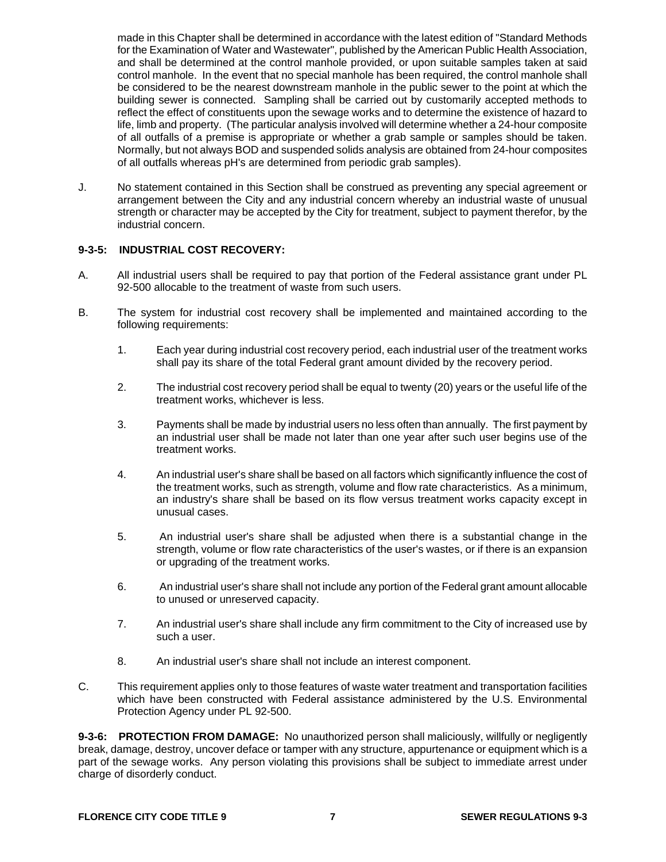made in this Chapter shall be determined in accordance with the latest edition of "Standard Methods for the Examination of Water and Wastewater", published by the American Public Health Association, and shall be determined at the control manhole provided, or upon suitable samples taken at said control manhole. In the event that no special manhole has been required, the control manhole shall be considered to be the nearest downstream manhole in the public sewer to the point at which the building sewer is connected. Sampling shall be carried out by customarily accepted methods to reflect the effect of constituents upon the sewage works and to determine the existence of hazard to life, limb and property. (The particular analysis involved will determine whether a 24-hour composite of all outfalls of a premise is appropriate or whether a grab sample or samples should be taken. Normally, but not always BOD and suspended solids analysis are obtained from 24-hour composites of all outfalls whereas pH's are determined from periodic grab samples).

J. No statement contained in this Section shall be construed as preventing any special agreement or arrangement between the City and any industrial concern whereby an industrial waste of unusual strength or character may be accepted by the City for treatment, subject to payment therefor, by the industrial concern.

## **9-3-5: INDUSTRIAL COST RECOVERY:**

- A. All industrial users shall be required to pay that portion of the Federal assistance grant under PL 92-500 allocable to the treatment of waste from such users.
- B. The system for industrial cost recovery shall be implemented and maintained according to the following requirements:
	- 1. Each year during industrial cost recovery period, each industrial user of the treatment works shall pay its share of the total Federal grant amount divided by the recovery period.
	- 2. The industrial cost recovery period shall be equal to twenty (20) years or the useful life of the treatment works, whichever is less.
	- 3. Payments shall be made by industrial users no less often than annually. The first payment by an industrial user shall be made not later than one year after such user begins use of the treatment works.
	- 4. An industrial user's share shall be based on all factors which significantly influence the cost of the treatment works, such as strength, volume and flow rate characteristics. As a minimum, an industry's share shall be based on its flow versus treatment works capacity except in unusual cases.
	- 5. An industrial user's share shall be adjusted when there is a substantial change in the strength, volume or flow rate characteristics of the user's wastes, or if there is an expansion or upgrading of the treatment works.
	- 6. An industrial user's share shall not include any portion of the Federal grant amount allocable to unused or unreserved capacity.
	- 7. An industrial user's share shall include any firm commitment to the City of increased use by such a user.
	- 8. An industrial user's share shall not include an interest component.
- C. This requirement applies only to those features of waste water treatment and transportation facilities which have been constructed with Federal assistance administered by the U.S. Environmental Protection Agency under PL 92-500.

**9-3-6: PROTECTION FROM DAMAGE:** No unauthorized person shall maliciously, willfully or negligently break, damage, destroy, uncover deface or tamper with any structure, appurtenance or equipment which is a part of the sewage works. Any person violating this provisions shall be subject to immediate arrest under charge of disorderly conduct.